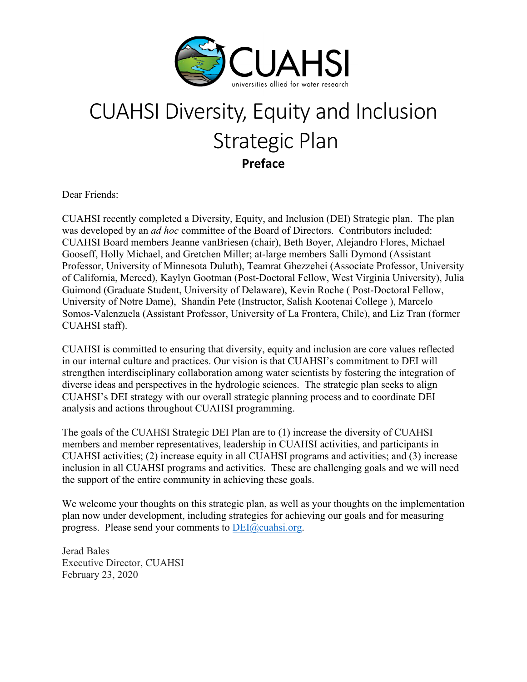

# CUAHSI Diversity, Equity and Inclusion Strategic Plan **Preface**

Dear Friends:

CUAHSI recently completed a Diversity, Equity, and Inclusion (DEI) Strategic plan. The plan was developed by an *ad hoc* committee of the Board of Directors. Contributors included: CUAHSI Board members Jeanne vanBriesen (chair), Beth Boyer, Alejandro Flores, Michael Gooseff, Holly Michael, and Gretchen Miller; at-large members Salli Dymond (Assistant Professor, University of Minnesota Duluth), Teamrat Ghezzehei (Associate Professor, University of California, Merced), Kaylyn Gootman (Post-Doctoral Fellow, West Virginia University), Julia Guimond (Graduate Student, University of Delaware), Kevin Roche ( Post-Doctoral Fellow, University of Notre Dame), Shandin Pete (Instructor, Salish Kootenai College ), Marcelo Somos-Valenzuela (Assistant Professor, University of La Frontera, Chile), and Liz Tran (former CUAHSI staff).

CUAHSI is committed to ensuring that diversity, equity and inclusion are core values reflected in our internal culture and practices. Our vision is that CUAHSI's commitment to DEI will strengthen interdisciplinary collaboration among water scientists by fostering the integration of diverse ideas and perspectives in the hydrologic sciences. The strategic plan seeks to align CUAHSI's DEI strategy with our overall strategic planning process and to coordinate DEI analysis and actions throughout CUAHSI programming.

The goals of the CUAHSI Strategic DEI Plan are to (1) increase the diversity of CUAHSI members and member representatives, leadership in CUAHSI activities, and participants in CUAHSI activities; (2) increase equity in all CUAHSI programs and activities; and (3) increase inclusion in all CUAHSI programs and activities. These are challenging goals and we will need the support of the entire community in achieving these goals.

We welcome your thoughts on this strategic plan, as well as your thoughts on the implementation plan now under development, including strategies for achieving our goals and for measuring progress. Please send your comments to  $DEI(\omega)$ cuahsi.org.

Jerad Bales Executive Director, CUAHSI February 23, 2020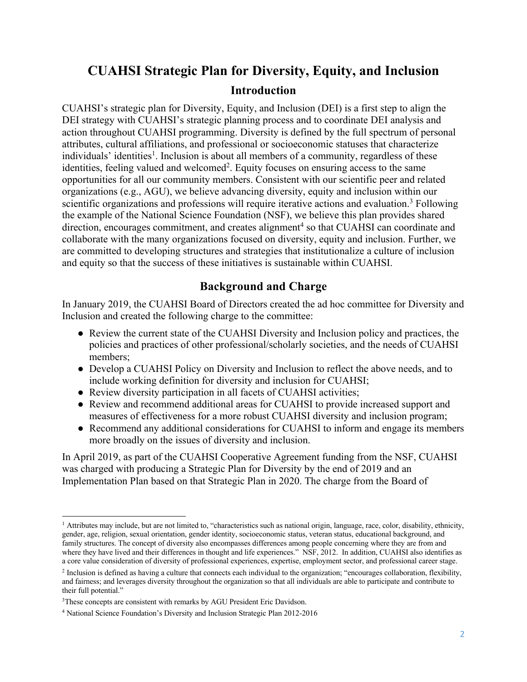# **CUAHSI Strategic Plan for Diversity, Equity, and Inclusion Introduction**

CUAHSI's strategic plan for Diversity, Equity, and Inclusion (DEI) is a first step to align the DEI strategy with CUAHSI's strategic planning process and to coordinate DEI analysis and action throughout CUAHSI programming. Diversity is defined by the full spectrum of personal attributes, cultural affiliations, and professional or socioeconomic statuses that characterize individuals' identities<sup>1</sup>. Inclusion is about all members of a community, regardless of these identities, feeling valued and welcomed<sup>2</sup>. Equity focuses on ensuring access to the same opportunities for all our community members. Consistent with our scientific peer and related organizations (e.g., AGU), we believe advancing diversity, equity and inclusion within our scientific organizations and professions will require iterative actions and evaluation.<sup>3</sup> Following the example of the National Science Foundation (NSF), we believe this plan provides shared direction, encourages commitment, and creates alignment<sup>4</sup> so that CUAHSI can coordinate and collaborate with the many organizations focused on diversity, equity and inclusion. Further, we are committed to developing structures and strategies that institutionalize a culture of inclusion and equity so that the success of these initiatives is sustainable within CUAHSI.

### **Background and Charge**

In January 2019, the CUAHSI Board of Directors created the ad hoc committee for Diversity and Inclusion and created the following charge to the committee:

- Review the current state of the CUAHSI Diversity and Inclusion policy and practices, the policies and practices of other professional/scholarly societies, and the needs of CUAHSI members;
- Develop a CUAHSI Policy on Diversity and Inclusion to reflect the above needs, and to include working definition for diversity and inclusion for CUAHSI;
- Review diversity participation in all facets of CUAHSI activities;
- Review and recommend additional areas for CUAHSI to provide increased support and measures of effectiveness for a more robust CUAHSI diversity and inclusion program;
- Recommend any additional considerations for CUAHSI to inform and engage its members more broadly on the issues of diversity and inclusion.

In April 2019, as part of the CUAHSI Cooperative Agreement funding from the NSF, CUAHSI was charged with producing a Strategic Plan for Diversity by the end of 2019 and an Implementation Plan based on that Strategic Plan in 2020. The charge from the Board of

<sup>&</sup>lt;sup>1</sup> Attributes may include, but are not limited to, "characteristics such as national origin, language, race, color, disability, ethnicity, gender, age, religion, sexual orientation, gender identity, socioeconomic status, veteran status, educational background, and family structures. The concept of diversity also encompasses differences among people concerning where they are from and where they have lived and their differences in thought and life experiences." NSF, 2012. In addition, CUAHSI also identifies as a core value consideration of diversity of professional experiences, expertise, employment sector, and professional career stage.

<sup>2</sup> Inclusion is defined as having a culture that connects each individual to the organization; "encourages collaboration, flexibility, and fairness; and leverages diversity throughout the organization so that all individuals are able to participate and contribute to their full potential."

<sup>3</sup>These concepts are consistent with remarks by AGU President Eric Davidson.

<sup>4</sup> National Science Foundation's Diversity and Inclusion Strategic Plan 2012-2016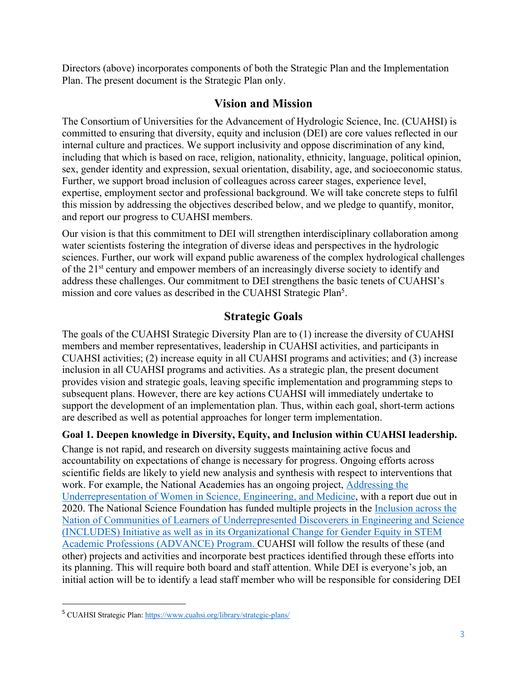Directors (above) incorporates components of both the Strategic Plan and the Implementation Plan. The present document is the Strategic Plan only.

## **Vision and Mission**

The Consortium of Universities for the Advancement of Hydrologic Science, Inc. (CUAHSI) is committed to ensuring that diversity, equity and inclusion (DEI) are core values reflected in our internal culture and practices. We support inclusivity and oppose discrimination of any kind, including that which is based on race, religion, nationality, ethnicity, language, political opinion, sex, gender identity and expression, sexual orientation, disability, age, and socioeconomic status. Further, we support broad inclusion of colleagues across career stages, experience level, expertise, employment sector and professional background. We will take concrete steps to fulfil this mission by addressing the objectives described below, and we pledge to quantify, monitor, and report our progress to CUAHSI members.

Our vision is that this commitment to DEI will strengthen interdisciplinary collaboration among water scientists fostering the integration of diverse ideas and perspectives in the hydrologic sciences. Further, our work will expand public awareness of the complex hydrological challenges of the 21<sup>st</sup> century and empower members of an increasingly diverse society to identify and address these challenges. Our commitment to DEI strengthens the basic tenets of CUAHSI's mission and core values as described in the CUAHSI Strategic Plan<sup>5</sup>.

# **Strategic Goals**

The goals of the CUAHSI Strategic Diversity Plan are to (1) increase the diversity of CUAHSI members and member representatives, leadership in CUAHSI activities, and participants in CUAHSI activities; (2) increase equity in all CUAHSI programs and activities; and (3) increase inclusion in all CUAHSI programs and activities. As a strategic plan, the present document provides vision and strategic goals, leaving specific implementation and programming steps to subsequent plans. However, there are key actions CUAHSI will immediately undertake to support the development of an implementation plan. Thus, within each goal, short-term actions are described as well as potential approaches for longer term implementation.

#### **Goal 1. Deepen knowledge in Diversity, Equity, and Inclusion within CUAHSI leadership.**

Change is not rapid, and research on diversity suggests maintaining active focus and accountability on expectations of change is necessary for progress. Ongoing efforts across scientific fields are likely to yield new analysis and synthesis with respect to interventions that work. For example, the National Academies has an ongoing project, Addressing the Underrepresentation of Women in Science, Engineering, and Medicine, with a report due out in 2020. The National Science Foundation has funded multiple projects in the Inclusion across the Nation of Communities of Learners of Underrepresented Discoverers in Engineering and Science (INCLUDES) Initiative as well as in its Organizational Change for Gender Equity in STEM Academic Professions (ADVANCE) Program. CUAHSI will follow the results of these (and other) projects and activities and incorporate best practices identified through these efforts into its planning. This will require both board and staff attention. While DEI is everyone's job, an initial action will be to identify a lead staff member who will be responsible for considering DEI

<sup>5</sup> CUAHSI Strategic Plan: https://www.cuahsi.org/library/strategic-plans/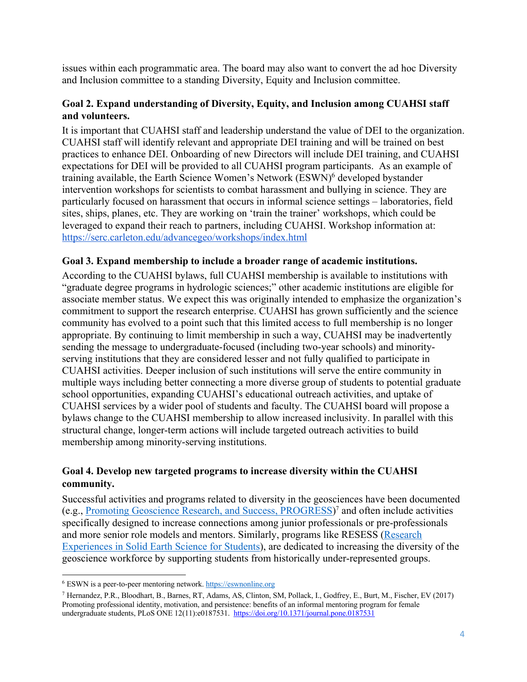issues within each programmatic area. The board may also want to convert the ad hoc Diversity and Inclusion committee to a standing Diversity, Equity and Inclusion committee.

#### **Goal 2. Expand understanding of Diversity, Equity, and Inclusion among CUAHSI staff and volunteers.**

It is important that CUAHSI staff and leadership understand the value of DEI to the organization. CUAHSI staff will identify relevant and appropriate DEI training and will be trained on best practices to enhance DEI. Onboarding of new Directors will include DEI training, and CUAHSI expectations for DEI will be provided to all CUAHSI program participants. As an example of training available, the Earth Science Women's Network (ESWN)<sup>6</sup> developed bystander intervention workshops for scientists to combat harassment and bullying in science. They are particularly focused on harassment that occurs in informal science settings – laboratories, field sites, ships, planes, etc. They are working on 'train the trainer' workshops, which could be leveraged to expand their reach to partners, including CUAHSI. Workshop information at: https://serc.carleton.edu/advancegeo/workshops/index.html

#### **Goal 3. Expand membership to include a broader range of academic institutions.**

According to the CUAHSI bylaws, full CUAHSI membership is available to institutions with "graduate degree programs in hydrologic sciences;" other academic institutions are eligible for associate member status. We expect this was originally intended to emphasize the organization's commitment to support the research enterprise. CUAHSI has grown sufficiently and the science community has evolved to a point such that this limited access to full membership is no longer appropriate. By continuing to limit membership in such a way, CUAHSI may be inadvertently sending the message to undergraduate-focused (including two-year schools) and minorityserving institutions that they are considered lesser and not fully qualified to participate in CUAHSI activities. Deeper inclusion of such institutions will serve the entire community in multiple ways including better connecting a more diverse group of students to potential graduate school opportunities, expanding CUAHSI's educational outreach activities, and uptake of CUAHSI services by a wider pool of students and faculty. The CUAHSI board will propose a bylaws change to the CUAHSI membership to allow increased inclusivity. In parallel with this structural change, longer-term actions will include targeted outreach activities to build membership among minority-serving institutions.

#### **Goal 4. Develop new targeted programs to increase diversity within the CUAHSI community.**

Successful activities and programs related to diversity in the geosciences have been documented (e.g., Promoting Geoscience Research, and Success, PROGRESS)<sup>7</sup> and often include activities specifically designed to increase connections among junior professionals or pre-professionals and more senior role models and mentors. Similarly, programs like RESESS (Research Experiences in Solid Earth Science for Students), are dedicated to increasing the diversity of the geoscience workforce by supporting students from historically under-represented groups.

<sup>6</sup> ESWN is a peer-to-peer mentoring network. https://eswnonline.org

<sup>7</sup> Hernandez, P.R., Bloodhart, B., Barnes, RT, Adams, AS, Clinton, SM, Pollack, I., Godfrey, E., Burt, M., Fischer, EV (2017) Promoting professional identity, motivation, and persistence: benefits of an informal mentoring program for female undergraduate students, PLoS ONE 12(11):e0187531. https://doi.org/10.1371/journal.pone.0187531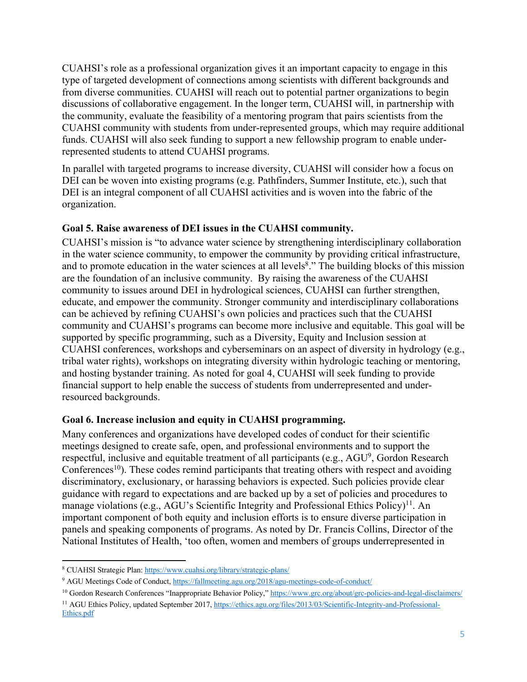CUAHSI's role as a professional organization gives it an important capacity to engage in this type of targeted development of connections among scientists with different backgrounds and from diverse communities. CUAHSI will reach out to potential partner organizations to begin discussions of collaborative engagement. In the longer term, CUAHSI will, in partnership with the community, evaluate the feasibility of a mentoring program that pairs scientists from the CUAHSI community with students from under-represented groups, which may require additional funds. CUAHSI will also seek funding to support a new fellowship program to enable underrepresented students to attend CUAHSI programs.

In parallel with targeted programs to increase diversity, CUAHSI will consider how a focus on DEI can be woven into existing programs (e.g. Pathfinders, Summer Institute, etc.), such that DEI is an integral component of all CUAHSI activities and is woven into the fabric of the organization.

#### **Goal 5. Raise awareness of DEI issues in the CUAHSI community.**

CUAHSI's mission is "to advance water science by strengthening interdisciplinary collaboration in the water science community, to empower the community by providing critical infrastructure, and to promote education in the water sciences at all levels<sup>8</sup>." The building blocks of this mission are the foundation of an inclusive community. By raising the awareness of the CUAHSI community to issues around DEI in hydrological sciences, CUAHSI can further strengthen, educate, and empower the community. Stronger community and interdisciplinary collaborations can be achieved by refining CUAHSI's own policies and practices such that the CUAHSI community and CUAHSI's programs can become more inclusive and equitable. This goal will be supported by specific programming, such as a Diversity, Equity and Inclusion session at CUAHSI conferences, workshops and cyberseminars on an aspect of diversity in hydrology (e.g., tribal water rights), workshops on integrating diversity within hydrologic teaching or mentoring, and hosting bystander training. As noted for goal 4, CUAHSI will seek funding to provide financial support to help enable the success of students from underrepresented and underresourced backgrounds.

#### **Goal 6. Increase inclusion and equity in CUAHSI programming.**

Many conferences and organizations have developed codes of conduct for their scientific meetings designed to create safe, open, and professional environments and to support the respectful, inclusive and equitable treatment of all participants (e.g., AGU<sup>9</sup>, Gordon Research Conferences<sup>10</sup>). These codes remind participants that treating others with respect and avoiding discriminatory, exclusionary, or harassing behaviors is expected. Such policies provide clear guidance with regard to expectations and are backed up by a set of policies and procedures to manage violations (e.g., AGU's Scientific Integrity and Professional Ethics Policy)<sup>11</sup>. An important component of both equity and inclusion efforts is to ensure diverse participation in panels and speaking components of programs. As noted by Dr. Francis Collins, Director of the National Institutes of Health, 'too often, women and members of groups underrepresented in

<sup>8</sup> CUAHSI Strategic Plan: https://www.cuahsi.org/library/strategic-plans/

<sup>9</sup> AGU Meetings Code of Conduct, https://fallmeeting.agu.org/2018/agu-meetings-code-of-conduct/

<sup>&</sup>lt;sup>10</sup> Gordon Research Conferences "Inappropriate Behavior Policy," https://www.grc.org/about/grc-policies-and-legal-disclaimers/

<sup>&</sup>lt;sup>11</sup> AGU Ethics Policy, updated September 2017, https://ethics.agu.org/files/2013/03/Scientific-Integrity-and-Professional-Ethics.pdf